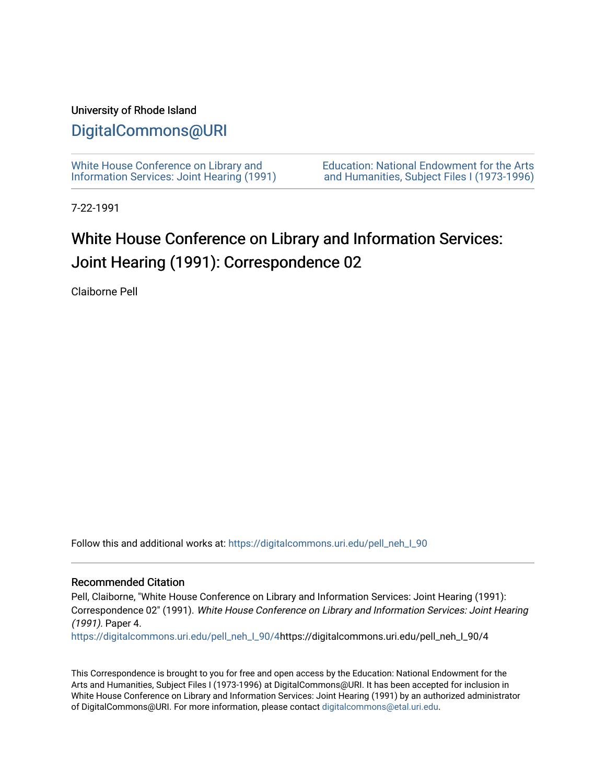## University of Rhode Island

## [DigitalCommons@URI](https://digitalcommons.uri.edu/)

[White House Conference on Library and](https://digitalcommons.uri.edu/pell_neh_I_90) [Information Services: Joint Hearing \(1991\)](https://digitalcommons.uri.edu/pell_neh_I_90) [Education: National Endowment for the Arts](https://digitalcommons.uri.edu/pell_neh_I)  [and Humanities, Subject Files I \(1973-1996\)](https://digitalcommons.uri.edu/pell_neh_I) 

7-22-1991

## White House Conference on Library and Information Services: Joint Hearing (1991): Correspondence 02

Claiborne Pell

Follow this and additional works at: [https://digitalcommons.uri.edu/pell\\_neh\\_I\\_90](https://digitalcommons.uri.edu/pell_neh_I_90?utm_source=digitalcommons.uri.edu%2Fpell_neh_I_90%2F4&utm_medium=PDF&utm_campaign=PDFCoverPages) 

## Recommended Citation

Pell, Claiborne, "White House Conference on Library and Information Services: Joint Hearing (1991): Correspondence 02" (1991). White House Conference on Library and Information Services: Joint Hearing (1991). Paper 4.

[https://digitalcommons.uri.edu/pell\\_neh\\_I\\_90/4h](https://digitalcommons.uri.edu/pell_neh_I_90/4?utm_source=digitalcommons.uri.edu%2Fpell_neh_I_90%2F4&utm_medium=PDF&utm_campaign=PDFCoverPages)ttps://digitalcommons.uri.edu/pell\_neh\_I\_90/4

This Correspondence is brought to you for free and open access by the Education: National Endowment for the Arts and Humanities, Subject Files I (1973-1996) at DigitalCommons@URI. It has been accepted for inclusion in White House Conference on Library and Information Services: Joint Hearing (1991) by an authorized administrator of DigitalCommons@URI. For more information, please contact [digitalcommons@etal.uri.edu](mailto:digitalcommons@etal.uri.edu).